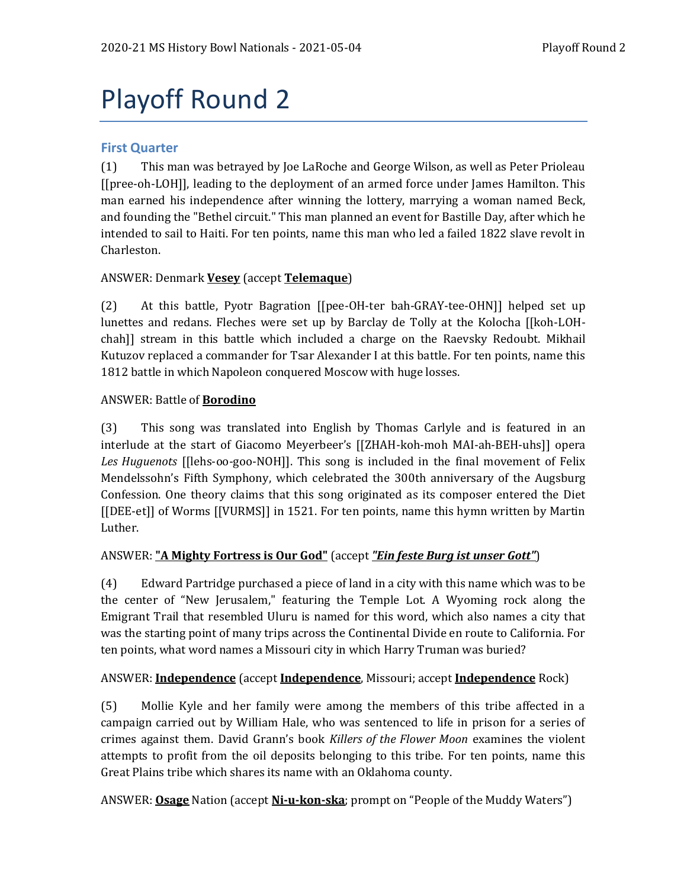# Playoff Round 2

## **First Quarter**

(1) This man was betrayed by Joe LaRoche and George Wilson, as well as Peter Prioleau [[pree-oh-LOH]], leading to the deployment of an armed force under James Hamilton. This man earned his independence after winning the lottery, marrying a woman named Beck, and founding the "Bethel circuit." This man planned an event for Bastille Day, after which he intended to sail to Haiti. For ten points, name this man who led a failed 1822 slave revolt in Charleston.

## ANSWER: Denmark **Vesey** (accept **Telemaque**)

(2) At this battle, Pyotr Bagration [[pee-OH-ter bah-GRAY-tee-OHN]] helped set up lunettes and redans. Fleches were set up by Barclay de Tolly at the Kolocha [[koh-LOHchah]] stream in this battle which included a charge on the Raevsky Redoubt. Mikhail Kutuzov replaced a commander for Tsar Alexander I at this battle. For ten points, name this 1812 battle in which Napoleon conquered Moscow with huge losses.

#### ANSWER: Battle of **Borodino**

(3) This song was translated into English by Thomas Carlyle and is featured in an interlude at the start of Giacomo Meyerbeer's [[ZHAH-koh-moh MAI-ah-BEH-uhs]] opera *Les Huguenots* [[lehs-oo-goo-NOH]]. This song is included in the final movement of Felix Mendelssohn's Fifth Symphony, which celebrated the 300th anniversary of the Augsburg Confession. One theory claims that this song originated as its composer entered the Diet [[DEE-et]] of Worms [[VURMS]] in 1521. For ten points, name this hymn written by Martin Luther.

#### ANSWER: **"A Mighty Fortress is Our God"** (accept *"Ein feste Burg ist unser Gott"*)

(4) Edward Partridge purchased a piece of land in a city with this name which was to be the center of "New Jerusalem," featuring the Temple Lot. A Wyoming rock along the Emigrant Trail that resembled Uluru is named for this word, which also names a city that was the starting point of many trips across the Continental Divide en route to California. For ten points, what word names a Missouri city in which Harry Truman was buried?

#### ANSWER: **Independence** (accept **Independence**, Missouri; accept **Independence** Rock)

(5) Mollie Kyle and her family were among the members of this tribe affected in a campaign carried out by William Hale, who was sentenced to life in prison for a series of crimes against them. David Grann's book *Killers of the Flower Moon* examines the violent attempts to profit from the oil deposits belonging to this tribe. For ten points, name this Great Plains tribe which shares its name with an Oklahoma county.

ANSWER: **Osage** Nation (accept **Ni-u-kon-ska**; prompt on "People of the Muddy Waters")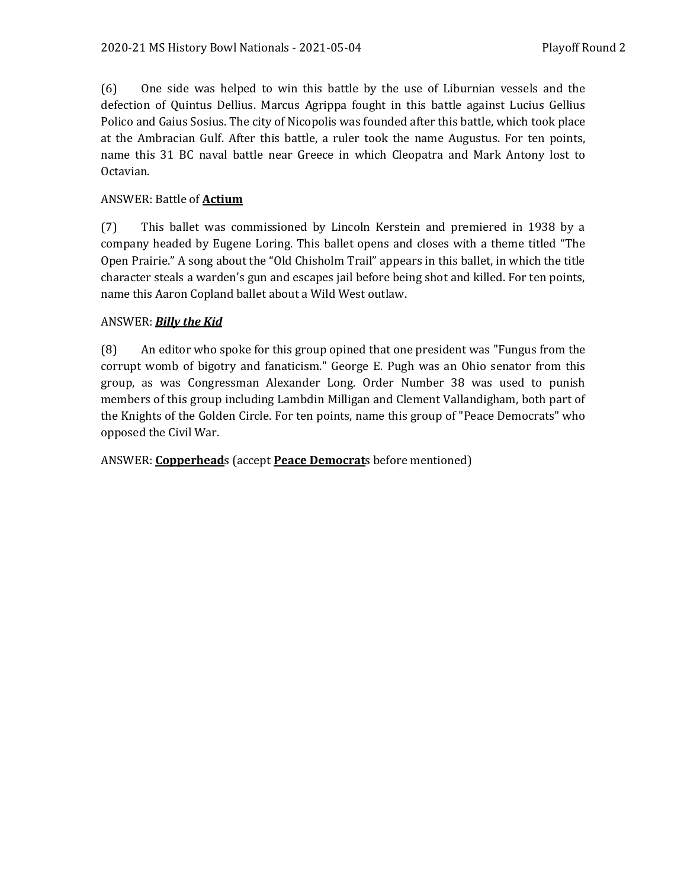(6) One side was helped to win this battle by the use of Liburnian vessels and the defection of Quintus Dellius. Marcus Agrippa fought in this battle against Lucius Gellius Polico and Gaius Sosius. The city of Nicopolis was founded after this battle, which took place at the Ambracian Gulf. After this battle, a ruler took the name Augustus. For ten points, name this 31 BC naval battle near Greece in which Cleopatra and Mark Antony lost to Octavian.

## ANSWER: Battle of **Actium**

(7) This ballet was commissioned by Lincoln Kerstein and premiered in 1938 by a company headed by Eugene Loring. This ballet opens and closes with a theme titled "The Open Prairie." A song about the "Old Chisholm Trail" appears in this ballet, in which the title character steals a warden's gun and escapes jail before being shot and killed. For ten points, name this Aaron Copland ballet about a Wild West outlaw.

## ANSWER: *Billy the Kid*

(8) An editor who spoke for this group opined that one president was "Fungus from the corrupt womb of bigotry and fanaticism." George E. Pugh was an Ohio senator from this group, as was Congressman Alexander Long. Order Number 38 was used to punish members of this group including Lambdin Milligan and Clement Vallandigham, both part of the Knights of the Golden Circle. For ten points, name this group of "Peace Democrats" who opposed the Civil War.

#### ANSWER: **Copperhead**s (accept **Peace Democrat**s before mentioned)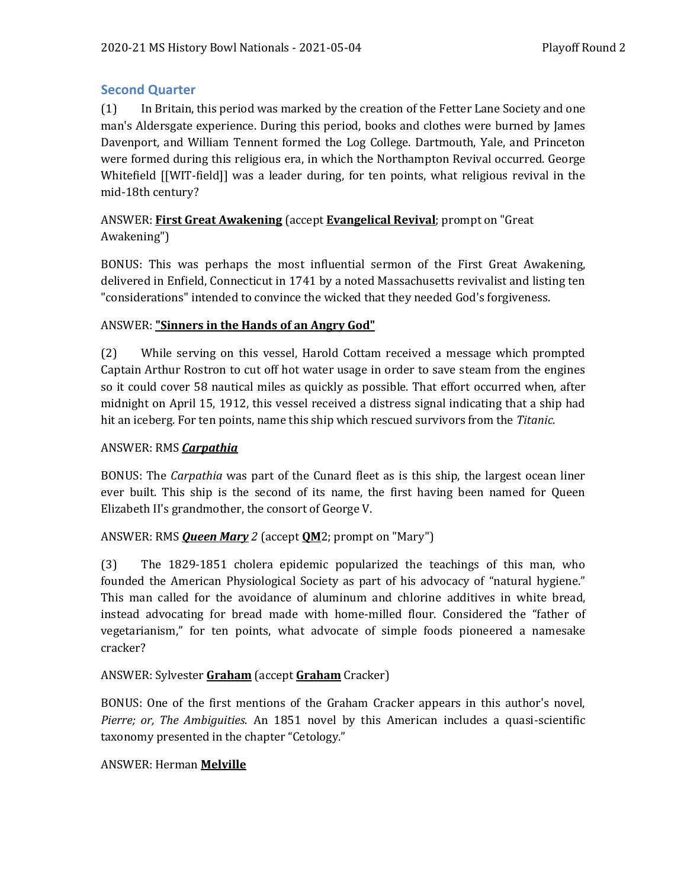# **Second Quarter**

(1) In Britain, this period was marked by the creation of the Fetter Lane Society and one man's Aldersgate experience. During this period, books and clothes were burned by James Davenport, and William Tennent formed the Log College. Dartmouth, Yale, and Princeton were formed during this religious era, in which the Northampton Revival occurred. George Whitefield [[WIT-field]] was a leader during, for ten points, what religious revival in the mid-18th century?

# ANSWER: **First Great Awakening** (accept **Evangelical Revival**; prompt on "Great Awakening")

BONUS: This was perhaps the most influential sermon of the First Great Awakening, delivered in Enfield, Connecticut in 1741 by a noted Massachusetts revivalist and listing ten "considerations" intended to convince the wicked that they needed God's forgiveness.

## ANSWER: **"Sinners in the Hands of an Angry God"**

(2) While serving on this vessel, Harold Cottam received a message which prompted Captain Arthur Rostron to cut off hot water usage in order to save steam from the engines so it could cover 58 nautical miles as quickly as possible. That effort occurred when, after midnight on April 15, 1912, this vessel received a distress signal indicating that a ship had hit an iceberg. For ten points, name this ship which rescued survivors from the *Titanic*.

## ANSWER: RMS *Carpathia*

BONUS: The *Carpathia* was part of the Cunard fleet as is this ship, the largest ocean liner ever built. This ship is the second of its name, the first having been named for Queen Elizabeth II's grandmother, the consort of George V.

# ANSWER: RMS *Queen Mary 2* (accept **QM**2; prompt on "Mary")

(3) The 1829-1851 cholera epidemic popularized the teachings of this man, who founded the American Physiological Society as part of his advocacy of "natural hygiene." This man called for the avoidance of aluminum and chlorine additives in white bread, instead advocating for bread made with home-milled flour. Considered the "father of vegetarianism," for ten points, what advocate of simple foods pioneered a namesake cracker?

# ANSWER: Sylvester **Graham** (accept **Graham** Cracker)

BONUS: One of the first mentions of the Graham Cracker appears in this author's novel, *Pierre; or, The Ambiguities*. An 1851 novel by this American includes a quasi-scientific taxonomy presented in the chapter "Cetology."

# ANSWER: Herman **Melville**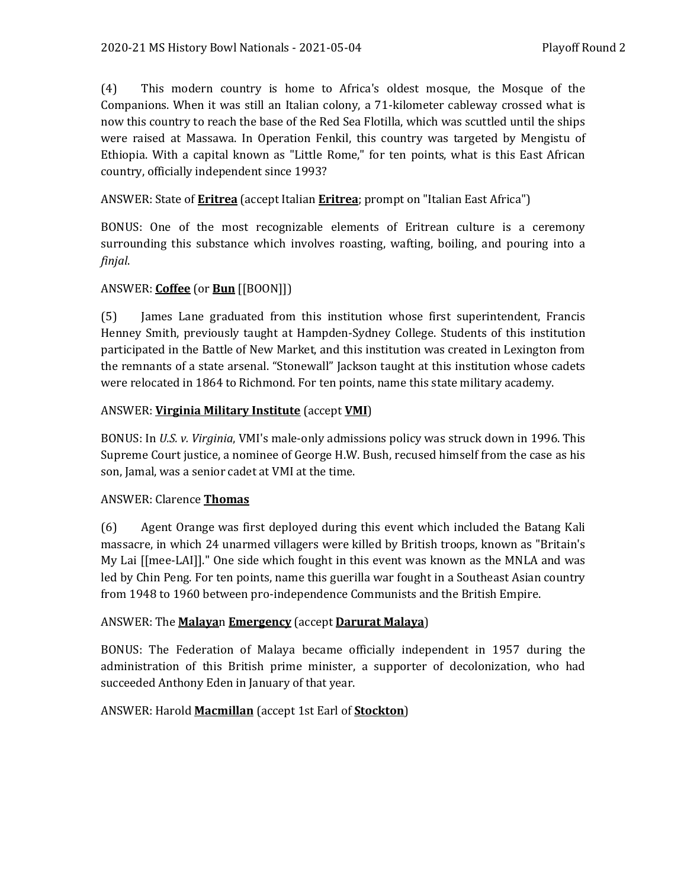(4) This modern country is home to Africa's oldest mosque, the Mosque of the Companions. When it was still an Italian colony, a 71-kilometer cableway crossed what is now this country to reach the base of the Red Sea Flotilla, which was scuttled until the ships were raised at Massawa. In Operation Fenkil, this country was targeted by Mengistu of Ethiopia. With a capital known as "Little Rome," for ten points, what is this East African country, officially independent since 1993?

## ANSWER: State of **Eritrea** (accept Italian **Eritrea**; prompt on "Italian East Africa")

BONUS: One of the most recognizable elements of Eritrean culture is a ceremony surrounding this substance which involves roasting, wafting, boiling, and pouring into a *finjal*.

# ANSWER: **Coffee** (or **Bun** [[BOON]])

(5) James Lane graduated from this institution whose first superintendent, Francis Henney Smith, previously taught at Hampden-Sydney College. Students of this institution participated in the Battle of New Market, and this institution was created in Lexington from the remnants of a state arsenal. "Stonewall" Jackson taught at this institution whose cadets were relocated in 1864 to Richmond. For ten points, name this state military academy.

## ANSWER: **Virginia Military Institute** (accept **VMI**)

BONUS: In *U.S. v. Virginia*, VMI's male-only admissions policy was struck down in 1996. This Supreme Court justice, a nominee of George H.W. Bush, recused himself from the case as his son, Jamal, was a senior cadet at VMI at the time.

#### ANSWER: Clarence **Thomas**

(6) Agent Orange was first deployed during this event which included the Batang Kali massacre, in which 24 unarmed villagers were killed by British troops, known as "Britain's My Lai [[mee-LAI]]." One side which fought in this event was known as the MNLA and was led by Chin Peng. For ten points, name this guerilla war fought in a Southeast Asian country from 1948 to 1960 between pro-independence Communists and the British Empire.

#### ANSWER: The **Malaya**n **Emergency** (accept **Darurat Malaya**)

BONUS: The Federation of Malaya became officially independent in 1957 during the administration of this British prime minister, a supporter of decolonization, who had succeeded Anthony Eden in January of that year.

# ANSWER: Harold **Macmillan** (accept 1st Earl of **Stockton**)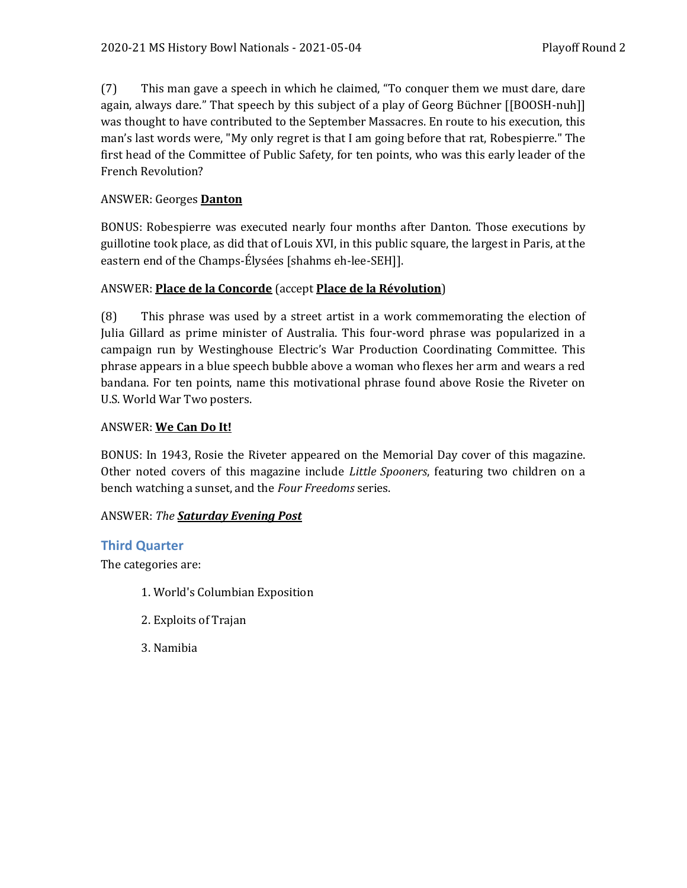(7) This man gave a speech in which he claimed, "To conquer them we must dare, dare again, always dare." That speech by this subject of a play of Georg Büchner [[BOOSH-nuh]] was thought to have contributed to the September Massacres. En route to his execution, this man's last words were, "My only regret is that I am going before that rat, Robespierre." The first head of the Committee of Public Safety, for ten points, who was this early leader of the French Revolution?

# ANSWER: Georges **Danton**

BONUS: Robespierre was executed nearly four months after Danton. Those executions by guillotine took place, as did that of Louis XVI, in this public square, the largest in Paris, at the eastern end of the Champs-Élysées [shahms eh-lee-SEH]].

# ANSWER: **Place de la Concorde** (accept **Place de la Révolution**)

(8) This phrase was used by a street artist in a work commemorating the election of Julia Gillard as prime minister of Australia. This four-word phrase was popularized in a campaign run by Westinghouse Electric's War Production Coordinating Committee. This phrase appears in a blue speech bubble above a woman who flexes her arm and wears a red bandana. For ten points, name this motivational phrase found above Rosie the Riveter on U.S. World War Two posters.

# ANSWER: **We Can Do It!**

BONUS: In 1943, Rosie the Riveter appeared on the Memorial Day cover of this magazine. Other noted covers of this magazine include *Little Spooners*, featuring two children on a bench watching a sunset, and the *Four Freedoms* series.

# ANSWER: *The Saturday Evening Post*

# **Third Quarter**

The categories are:

- 1. World's Columbian Exposition
- 2. Exploits of Trajan
- 3. Namibia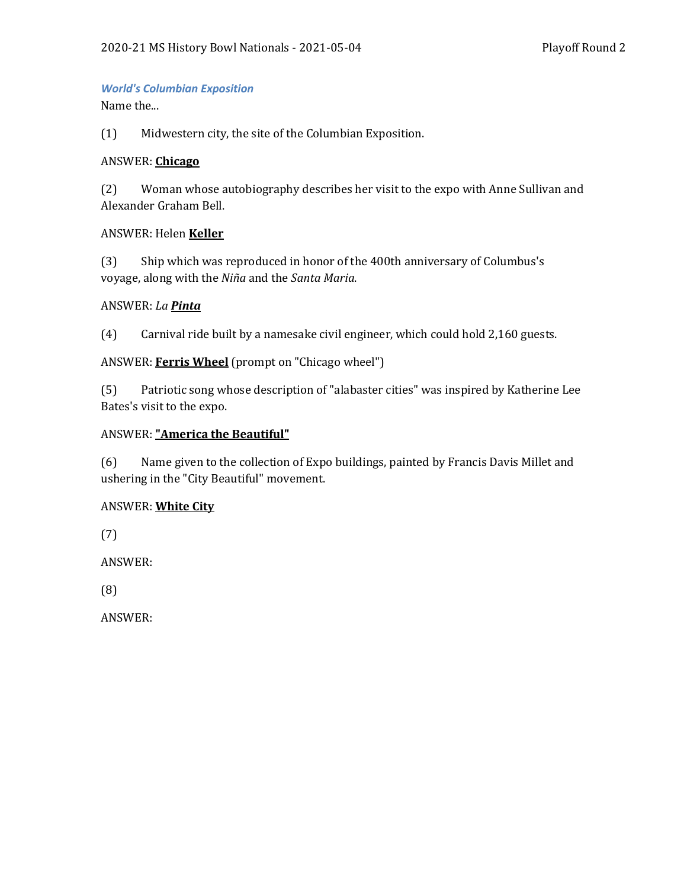### *World's Columbian Exposition*

Name the...

(1) Midwestern city, the site of the Columbian Exposition.

#### ANSWER: **Chicago**

(2) Woman whose autobiography describes her visit to the expo with Anne Sullivan and Alexander Graham Bell.

#### ANSWER: Helen **Keller**

(3) Ship which was reproduced in honor of the 400th anniversary of Columbus's voyage, along with the *Niña* and the *Santa Maria*.

#### ANSWER: *La Pinta*

(4) Carnival ride built by a namesake civil engineer, which could hold 2,160 guests.

#### ANSWER: **Ferris Wheel** (prompt on "Chicago wheel")

(5) Patriotic song whose description of "alabaster cities" was inspired by Katherine Lee Bates's visit to the expo.

#### ANSWER: **"America the Beautiful"**

(6) Name given to the collection of Expo buildings, painted by Francis Davis Millet and ushering in the "City Beautiful" movement.

#### ANSWER: **White City**

(7)

ANSWER:

(8)

ANSWER: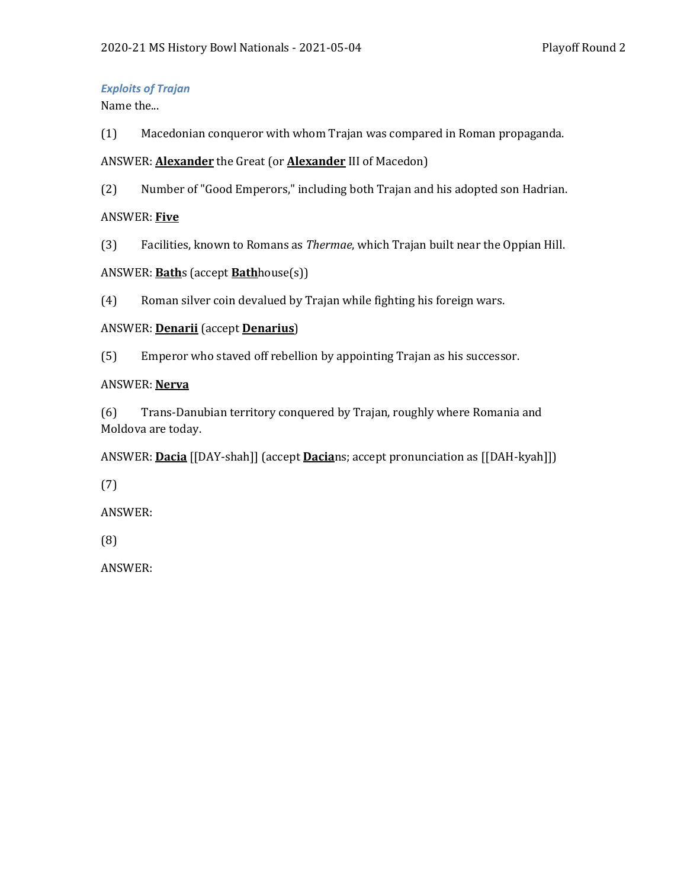## *Exploits of Trajan*

Name the...

(1) Macedonian conqueror with whom Trajan was compared in Roman propaganda.

# ANSWER: **Alexander** the Great (or **Alexander** III of Macedon)

(2) Number of "Good Emperors," including both Trajan and his adopted son Hadrian.

# ANSWER: **Five**

(3) Facilities, known to Romans as *Thermae*, which Trajan built near the Oppian Hill.

# ANSWER: **Bath**s (accept **Bath**house(s))

(4) Roman silver coin devalued by Trajan while fighting his foreign wars.

# ANSWER: **Denarii** (accept **Denarius**)

(5) Emperor who staved off rebellion by appointing Trajan as his successor.

# ANSWER: **Nerva**

(6) Trans-Danubian territory conquered by Trajan, roughly where Romania and Moldova are today.

ANSWER: **Dacia** [[DAY-shah]] (accept **Dacia**ns; accept pronunciation as [[DAH-kyah]])

(7)

ANSWER:

(8)

ANSWER: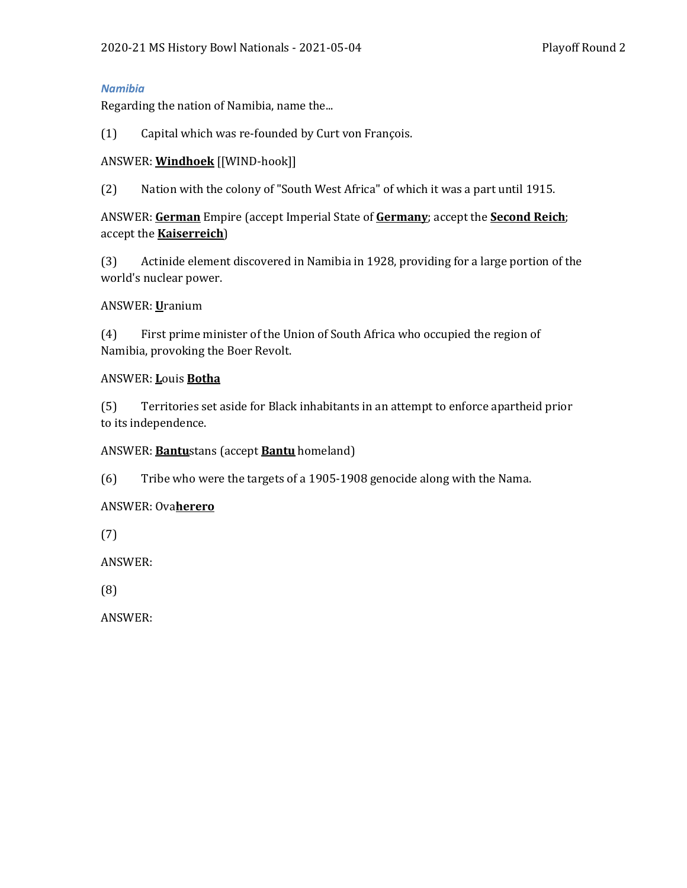#### *Namibia*

Regarding the nation of Namibia, name the...

(1) Capital which was re-founded by Curt von François.

## ANSWER: **Windhoek** [[WIND-hook]]

(2) Nation with the colony of "South West Africa" of which it was a part until 1915.

ANSWER: **German** Empire (accept Imperial State of **Germany**; accept the **Second Reich**; accept the **Kaiserreich**)

(3) Actinide element discovered in Namibia in 1928, providing for a large portion of the world's nuclear power.

#### ANSWER: **U**ranium

(4) First prime minister of the Union of South Africa who occupied the region of Namibia, provoking the Boer Revolt.

#### ANSWER: **L**ouis **Botha**

(5) Territories set aside for Black inhabitants in an attempt to enforce apartheid prior to its independence.

#### ANSWER: **Bantu**stans (accept **Bantu** homeland)

(6) Tribe who were the targets of a 1905-1908 genocide along with the Nama.

#### ANSWER: Ova**herero**

(7)

ANSWER:

(8)

ANSWER: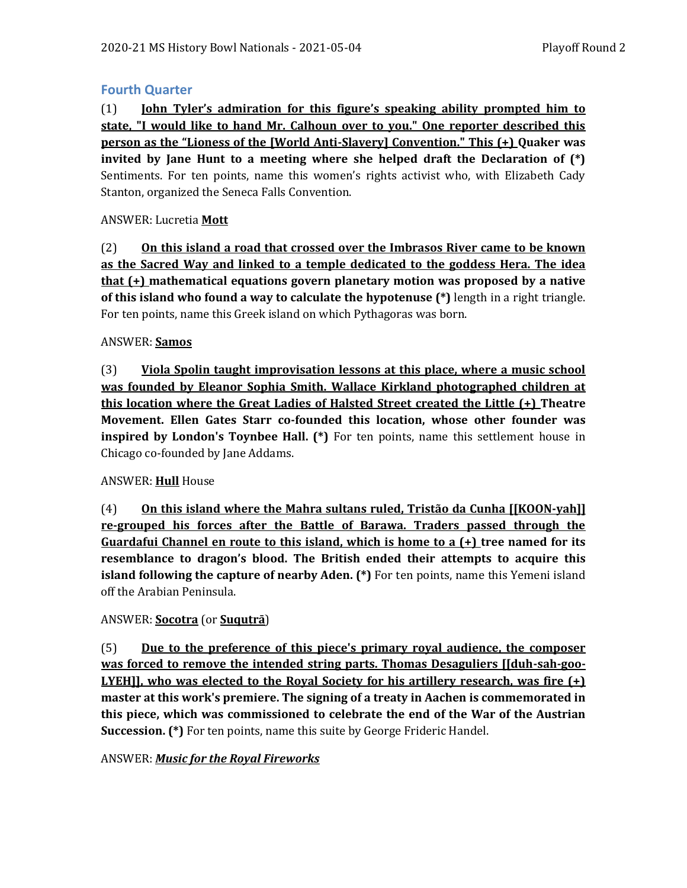# **Fourth Quarter**

(1) **John Tyler's admiration for this figure's speaking ability prompted him to state, "I would like to hand Mr. Calhoun over to you." One reporter described this person as the "Lioness of the [World Anti-Slavery] Convention." This (+) Quaker was invited by Jane Hunt to a meeting where she helped draft the Declaration of (\*)**  Sentiments. For ten points, name this women's rights activist who, with Elizabeth Cady Stanton, organized the Seneca Falls Convention.

## ANSWER: Lucretia **Mott**

(2) **On this island a road that crossed over the Imbrasos River came to be known as the Sacred Way and linked to a temple dedicated to the goddess Hera. The idea that (+) mathematical equations govern planetary motion was proposed by a native of this island who found a way to calculate the hypotenuse (\*)** length in a right triangle. For ten points, name this Greek island on which Pythagoras was born.

#### ANSWER: **Samos**

(3) **Viola Spolin taught improvisation lessons at this place, where a music school was founded by Eleanor Sophia Smith. Wallace Kirkland photographed children at this location where the Great Ladies of Halsted Street created the Little (+) Theatre Movement. Ellen Gates Starr co-founded this location, whose other founder was inspired by London's Toynbee Hall.** (\*) For ten points, name this settlement house in Chicago co-founded by Jane Addams.

#### ANSWER: **Hull** House

(4) **On this island where the Mahra sultans ruled, Tristão da Cunha [[KOON-yah]] re-grouped his forces after the Battle of Barawa. Traders passed through the Guardafui Channel en route to this island, which is home to a (+) tree named for its resemblance to dragon's blood. The British ended their attempts to acquire this island following the capture of nearby Aden. (\*)** For ten points, name this Yemeni island off the Arabian Peninsula.

#### ANSWER: **Socotra** (or **Suquṭrā**)

(5) **Due to the preference of this piece's primary royal audience, the composer was forced to remove the intended string parts. Thomas Desaguliers [[duh-sah-goo-LYEH]], who was elected to the Royal Society for his artillery research, was fire (+) master at this work's premiere. The signing of a treaty in Aachen is commemorated in this piece, which was commissioned to celebrate the end of the War of the Austrian Succession. (\*)** For ten points, name this suite by George Frideric Handel.

#### ANSWER: *Music for the Royal Fireworks*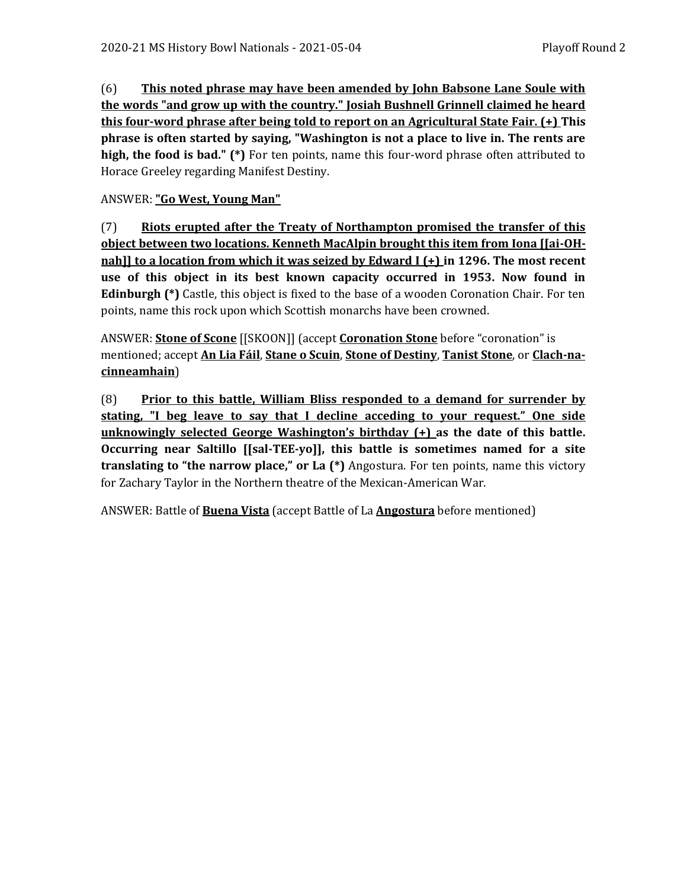(6) **This noted phrase may have been amended by John Babsone Lane Soule with the words "and grow up with the country." Josiah Bushnell Grinnell claimed he heard this four-word phrase after being told to report on an Agricultural State Fair. (+) This phrase is often started by saying, "Washington is not a place to live in. The rents are high, the food is bad." (\*)** For ten points, name this four-word phrase often attributed to Horace Greeley regarding Manifest Destiny.

# ANSWER: **"Go West, Young Man"**

(7) **Riots erupted after the Treaty of Northampton promised the transfer of this object between two locations. Kenneth MacAlpin brought this item from Iona [[ai-OHnah]] to a location from which it was seized by Edward I (+) in 1296. The most recent use of this object in its best known capacity occurred in 1953. Now found in Edinburgh (\*)** Castle, this object is fixed to the base of a wooden Coronation Chair. For ten points, name this rock upon which Scottish monarchs have been crowned.

ANSWER: **Stone of Scone** [[SKOON]] (accept **Coronation Stone** before "coronation" is mentioned; accept **An Lia Fáil**, **Stane o Scuin**, **Stone of Destiny**, **Tanist Stone**, or **Clach-nacinneamhain**)

(8) **Prior to this battle, William Bliss responded to a demand for surrender by stating, "I beg leave to say that I decline acceding to your request." One side unknowingly selected George Washington's birthday (+) as the date of this battle. Occurring near Saltillo [[sal-TEE-yo]], this battle is sometimes named for a site translating to "the narrow place," or La (\*)** Angostura. For ten points, name this victory for Zachary Taylor in the Northern theatre of the Mexican-American War.

ANSWER: Battle of **Buena Vista** (accept Battle of La **Angostura** before mentioned)